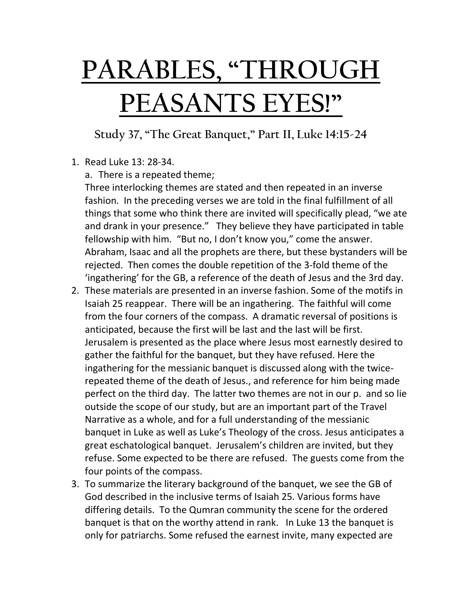## **PARABLES, "THROUGH PEASANTS EYES!"**

**Study 37, "The Great Banquet," Part II, Luke 14:15-24**

- 1. Read Luke 13: 28-34.
	- a. There is a repeated theme;

Three interlocking themes are stated and then repeated in an inverse fashion. In the preceding verses we are told in the final fulfillment of all things that some who think there are invited will specifically plead, "we ate and drank in your presence." They believe they have participated in table fellowship with him. "But no, I don't know you," come the answer. Abraham, Isaac and all the prophets are there, but these bystanders will be rejected. Then comes the double repetition of the 3-fold theme of the 'ingathering' for the GB, a reference of the death of Jesus and the 3rd day.

- 2. These materials are presented in an inverse fashion. Some of the motifs in Isaiah 25 reappear. There will be an ingathering. The faithful will come from the four corners of the compass. A dramatic reversal of positions is anticipated, because the first will be last and the last will be first. Jerusalem is presented as the place where Jesus most earnestly desired to gather the faithful for the banquet, but they have refused. Here the ingathering for the messianic banquet is discussed along with the twicerepeated theme of the death of Jesus., and reference for him being made perfect on the third day. The latter two themes are not in our p. and so lie outside the scope of our study, but are an important part of the Travel Narrative as a whole, and for a full understanding of the messianic banquet in Luke as well as Luke's Theology of the cross. Jesus anticipates a great eschatological banquet. Jerusalem's children are invited, but they refuse. Some expected to be there are refused. The guests come from the four points of the compass.
- 3. To summarize the literary background of the banquet, we see the GB of God described in the inclusive terms of Isaiah 25. Various forms have differing details. To the Qumran community the scene for the ordered banquet is that on the worthy attend in rank. In Luke 13 the banquet is only for patriarchs. Some refused the earnest invite, many expected are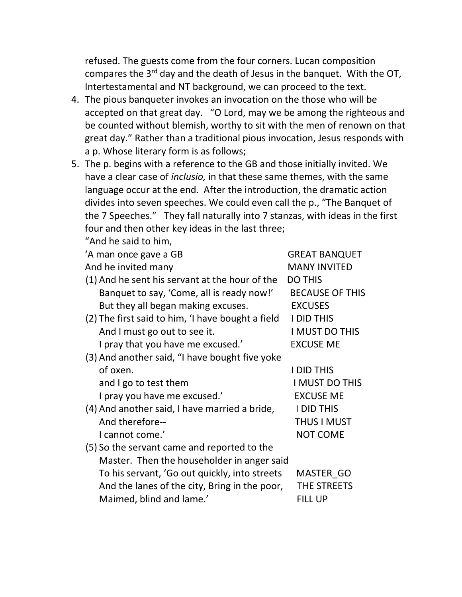refused. The guests come from the four corners. Lucan composition compares the 3<sup>rd</sup> day and the death of Jesus in the banquet. With the OT, Intertestamental and NT background, we can proceed to the text.

- 4. The pious banqueter invokes an invocation on the those who will be accepted on that great day. "O Lord, may we be among the righteous and be counted without blemish, worthy to sit with the men of renown on that great day." Rather than a traditional pious invocation, Jesus responds with a p. Whose literary form is as follows;
- 5. The p. begins with a reference to the GB and those initially invited. We have a clear case of *inclusio,* in that these same themes, with the same language occur at the end. After the introduction, the dramatic action divides into seven speeches. We could even call the p., "The Banquet of the 7 Speeches." They fall naturally into 7 stanzas, with ideas in the first four and then other key ideas in the last three;

"And he said to him,

A man once gave a GB GREAT BANQUET And he invited many MANY INVITED (1) And he sent his servant at the hour of the DO THIS Banquet to say, 'Come, all is ready now!' BECAUSE OF THIS But they all began making excuses. EXCUSES (2) The first said to him, 'I have bought a field I DID THIS And I must go out to see it. I MUST DO THIS I pray that you have me excused.' EXCUSE ME (3) And another said, "I have bought five yoke of oxen. I DID THIS and I go to test them I MUST DO THIS I pray you have me excused.' EXCUSE ME (4) And another said, I have married a bride, I DID THIS And therefore-- THUS I MUST I cannot come.' NOT COME (5) So the servant came and reported to the Master. Then the householder in anger said To his servant, 'Go out quickly, into streets MASTER\_GO And the lanes of the city, Bring in the poor, THE STREETS Maimed, blind and lame.' FILL UP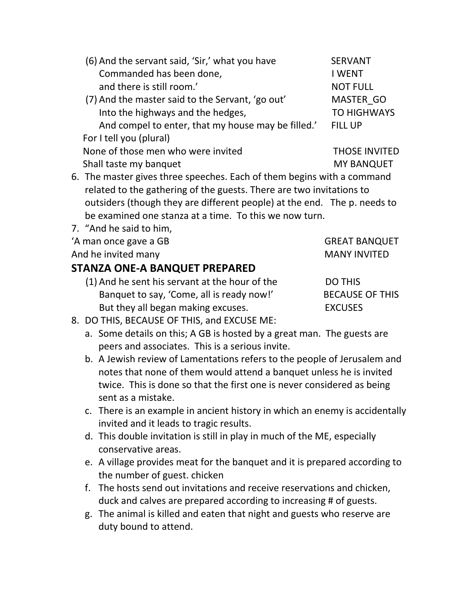| (6) And the servant said, 'Sir,' what you have                       | <b>SERVANT</b>       |
|----------------------------------------------------------------------|----------------------|
| Commanded has been done,                                             | <b>I WENT</b>        |
| and there is still room.'                                            | <b>NOT FULL</b>      |
| (7) And the master said to the Servant, 'go out'                     | <b>MASTER GO</b>     |
| Into the highways and the hedges,                                    | <b>TO HIGHWAYS</b>   |
| And compel to enter, that my house may be filled.'                   | <b>FILL UP</b>       |
| For I tell you (plural)                                              |                      |
| None of those men who were invited                                   | <b>THOSE INVITED</b> |
| Shall taste my banquet                                               | <b>MY BANQUET</b>    |
| 6 The master gives three speeches Each of them begins with a command |                      |

- 6. The master gives three speeches. Each of them begins with a command related to the gathering of the guests. There are two invitations to outsiders (though they are different people) at the end. The p. needs to be examined one stanza at a time. To this we now turn.
- 7. "And he said to him,
- 'A man once gave a GB GREAT BANQUET

And he invited many MANY INVITED

## **STANZA ONE-A BANQUET PREPARED**

 $(1)$  And he sent his servant at the hour of the Banquet to say, 'Come, all is ready now!' But they all began making excuses.

| <b>DO THIS</b>         |
|------------------------|
| <b>BECAUSE OF THIS</b> |
| <b>EXCUSES</b>         |

- 8. DO THIS, BECAUSE OF THIS, and EXCUSE ME:
	- a. Some details on this; A GB is hosted by a great man. The guests are peers and associates. This is a serious invite.
	- b. A Jewish review of Lamentations refers to the people of Jerusalem and notes that none of them would attend a banquet unless he is invited twice. This is done so that the first one is never considered as being sent as a mistake.
	- c. There is an example in ancient history in which an enemy is accidentally invited and it leads to tragic results.
	- d. This double invitation is still in play in much of the ME, especially conservative areas.
	- e. A village provides meat for the banquet and it is prepared according to the number of guest. chicken
	- f. The hosts send out invitations and receive reservations and chicken, duck and calves are prepared according to increasing # of guests.
	- g. The animal is killed and eaten that night and guests who reserve are duty bound to attend.